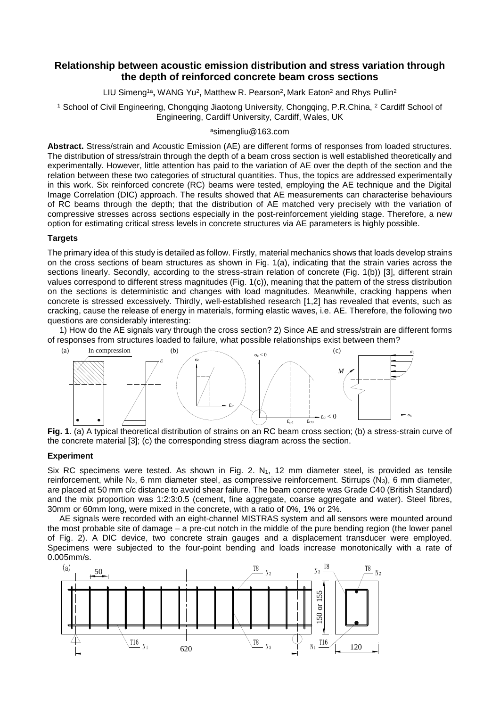# **Relationship between acoustic emission distribution and stress variation through the depth of reinforced concrete beam cross sections**

LIU Simeng<sup>1a</sup>, WANG Yu<sup>2</sup>, Matthew R. Pearson<sup>2</sup>, Mark Eaton<sup>2</sup> and Rhys Pullin<sup>2</sup>

<sup>1</sup> School of Civil Engineering, Chongqing Jiaotong University, Chongqing, P.R.China, <sup>2</sup> Cardiff School of Engineering, Cardiff University, Cardiff, Wales, UK

### <sup>a</sup>simengliu@163.com

**Abstract.** Stress/strain and Acoustic Emission (AE) are different forms of responses from loaded structures. The distribution of stress/strain through the depth of a beam cross section is well established theoretically and experimentally. However, little attention has paid to the variation of AE over the depth of the section and the relation between these two categories of structural quantities. Thus, the topics are addressed experimentally in this work. Six reinforced concrete (RC) beams were tested, employing the AE technique and the Digital Image Correlation (DIC) approach. The results showed that AE measurements can characterise behaviours of RC beams through the depth; that the distribution of AE matched very precisely with the variation of compressive stresses across sections especially in the post-reinforcement yielding stage. Therefore, a new option for estimating critical stress levels in concrete structures via AE parameters is highly possible.

## **Targets**

The primary idea of this study is detailed as follow. Firstly, material mechanics shows that loads develop strains on the cross sections of beam structures as shown in Fig. 1(a), indicating that the strain varies across the sections linearly. Secondly, according to the stress-strain relation of concrete (Fig. 1(b)) [3], different strain values correspond to different stress magnitudes (Fig. 1(c)), meaning that the pattern of the stress distribution on the sections is deterministic and changes with load magnitudes. Meanwhile, cracking happens when concrete is stressed excessively. Thirdly, well-established research [1,2] has revealed that events, such as cracking, cause the release of energy in materials, forming elastic waves, i.e. AE. Therefore, the following two questions are considerably interesting:

1) How do the AE signals vary through the cross section? 2) Since AE and stress/strain are different forms of responses from structures loaded to failure, what possible relationships exist between them?



**Fig. 1**. (a) A typical theoretical distribution of strains on an RC beam cross section; (b) a stress-strain curve of the concrete material  $\Omega$ : (c) the corresponding stress diagram across the section the concrete material [3]; (c) the corresponding stress diagram across the section. on the section.

### **Experiment**

Six RC specimens were tested. As shown in Fig. 2.  $N_1$ , 12 mm diameter steel, is provided as tensile reinforcement, while  $N_2$ , 6 mm diameter steel, as compressive reinforcement. Stirrups  $(N_3)$ , 6 mm diameter, are placed at 50 mm c/c distance to avoid shear failure. The beam concrete was Grade C40 (British Standard) and the mix proportion was 1:2:3:0.5 (cement, fine aggregate, coarse aggregate and water). Steel fibres, 30mm or 60mm long, were mixed in the concrete, with a ratio of 0%, 1% or 2%.

AE signals were recorded with an eight-channel MISTRAS system and all sensors were mounted around the most probable site of damage – a pre-cut notch in the middle of the pure bending region (the lower panel of Fig. 2). A DIC device, two concrete strain gauges and a displacement transducer were employed. Specimens were subjected to the four-point bending and loads increase monotonically with a rate of 0.005mm/s.